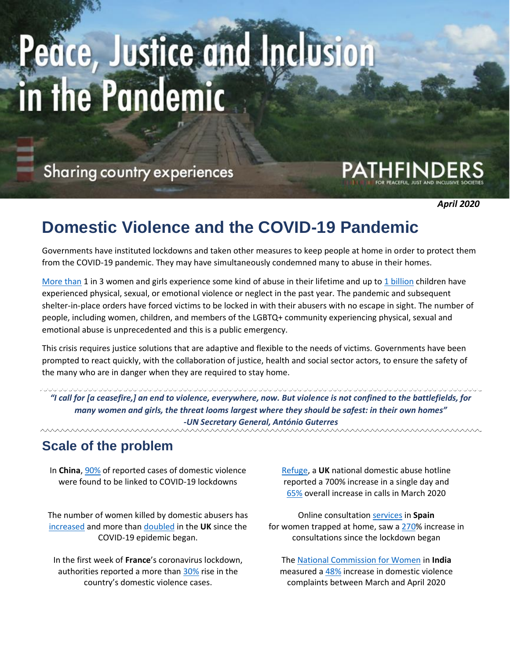# ce, Justice and Inclusion in the Pandemic

Sharing country experiences

*April 2020*

## **Domestic Violence and the COVID-19 Pandemic**

Governments have instituted lockdowns and taken other measures to keep people at home in order to protect them from the COVID-19 pandemic. They may have simultaneously condemned many to abuse in their homes.

[More than](https://www.unwomen.org/en/what-we-do/ending-violence-against-women/facts-and-figures) 1 in 3 women and girls experience some kind of abuse in their lifetime and up to [1 billion](https://www.who.int/news-room/fact-sheets/detail/violence-against-children) children have experienced physical, sexual, or emotional violence or neglect in the past year. The pandemic and subsequent shelter-in-place orders have forced victims to be locked in with their abusers with no escape in sight. The number of people, including women, children, and members of the LGBTQ+ community experiencing physical, sexual and emotional abuse is unprecedented and this is a public emergency.

This crisis requires justice solutions that are adaptive and flexible to the needs of victims. Governments have been prompted to react quickly, with the collaboration of justice, health and social sector actors, to ensure the safety of the many who are in danger when they are required to stay home.

*"I call for [a ceasefire,] an end to violence, everywhere, now. But violence is not confined to the battlefields, for many women and girls, the threat looms largest where they should be safest: in their own homes" -UN Secretary General, António Guterres*

#### **Scale of the problem**

In **China**, [90%](https://www.theguardian.com/society/2020/mar/28/lockdowns-world-rise-domestic-violence) of reported cases of domestic violence were found to be linked to COVID-19 lockdowns

The number of women killed by domestic abusers has [increased](https://www.la-prensa.com.mx/mexico/en-lo-que-va-de-la-cuarentena-han-asesinado-al-menos-a-210-mujeres-marea-verde-mexico-5130073.html) and more than [doubled](https://www.theguardian.com/society/2020/apr/15/domestic-abuse-killings-more-than-double-amid-covid-19-lockdown) in the **UK** since the COVID-19 epidemic began.

In the first week of **France**'s coronavirus lockdown, authorities reported a more than [30%](https://www.france24.com/en/20200410-french-domestic-violence-cases-soar-during-coronavirus-lockdown) rise in the country's domestic violence cases.

[Refuge,](https://www.refuge.org.uk/) a **UK** national domestic abuse hotline reported a 700% increase in a single day and [65%](https://www.theguardian.com/society/2020/mar/31/call-for-uk-domestic-violence-refuges-to-get-coronavirus-funding) overall increase in calls in March 2020

Online consultation [services](https://www.bbc.com/news/world-europe-52216966) in **Spain** for women trapped at home, saw a [270%](https://www.reuters.com/article/us-health-coronavirus-spain-domestic-vio/calls-to-spains-gender-violence-helpline-rise-sharply-during-lockdown-idUSKBN21J576) increase in consultations since the lockdown began

The [National Commission for Women](http://ncw.nic.in/) in **India** measured a [48%](https://www.aljazeera.com/news/2020/04/locked-abusers-india-domestic-violence-surge-200415092014621.html) increase in domestic violence complaints between March and April 2020